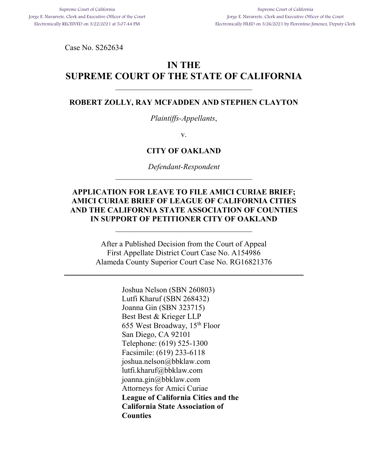<span id="page-0-0"></span>Case No. S262634

# **IN THE SUPREME COURT OF THE STATE OF CALIFORNIA**

### **ROBERT ZOLLY, RAY MCFADDEN AND STEPHEN CLAYTON**

*Plaintiffs-Appellants*,

v.

## **CITY OF OAKLAND**

*Defendant-Respondent*   $\mathcal{L}_\text{max}$ 

## **APPLICATION FOR LEAVE TO FILE AMICI CURIAE BRIEF; AMICI CURIAE BRIEF OF LEAGUE OF CALIFORNIA CITIES AND THE CALIFORNIA STATE ASSOCIATION OF COUNTIES IN SUPPORT OF PETITIONER CITY OF OAKLAND**

After a Published Decision from the Court of Appeal First Appellate District Court Case No. A154986 Alameda County Superior Court Case No. RG16821376

> Joshua Nelson (SBN 260803) Lutfi Kharuf (SBN 268432) Joanna Gin (SBN 323715) Best Best & Krieger LLP 655 West Broadway, 15th Floor San Diego, CA 92101 Telephone: (619) 525-1300 Facsimile: (619) 233-6118 joshua.nelson@bbklaw.com lutfi.kharuf@bbklaw.com joanna.gin@bbklaw.com Attorneys for Amici Curiae **League of California Cities and the California State Association of Counties**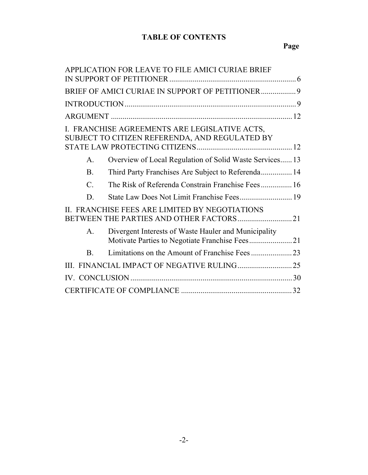## **TABLE OF CONTENTS**

|                 | APPLICATION FOR LEAVE TO FILE AMICI CURIAE BRIEF                                                |  |
|-----------------|-------------------------------------------------------------------------------------------------|--|
|                 | BRIEF OF AMICI CURIAE IN SUPPORT OF PETITIONER 9                                                |  |
|                 |                                                                                                 |  |
|                 |                                                                                                 |  |
|                 | I. FRANCHISE AGREEMENTS ARE LEGISLATIVE ACTS,<br>SUBJECT TO CITIZEN REFERENDA, AND REGULATED BY |  |
| Α.              | Overview of Local Regulation of Solid Waste Services 13                                         |  |
| <b>B.</b>       | Third Party Franchises Are Subject to Referenda 14                                              |  |
| $\mathcal{C}$ . | The Risk of Referenda Constrain Franchise Fees 16                                               |  |
| D               |                                                                                                 |  |
|                 | II. FRANCHISE FEES ARE LIMITED BY NEGOTIATIONS                                                  |  |
| A.              | Divergent Interests of Waste Hauler and Municipality                                            |  |
| B.              |                                                                                                 |  |
|                 |                                                                                                 |  |
|                 |                                                                                                 |  |
|                 |                                                                                                 |  |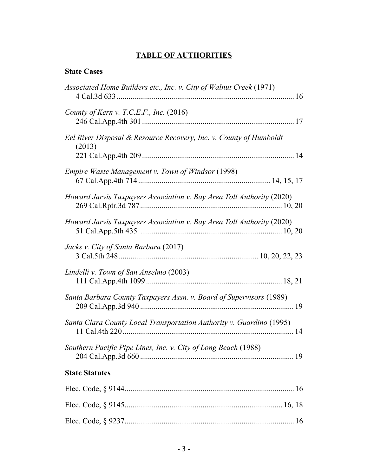# **TABLE OF AUTHORITIES**

## **State Cases**

| Associated Home Builders etc., Inc. v. City of Walnut Creek (1971)           |
|------------------------------------------------------------------------------|
| County of Kern v. T.C.E.F., Inc. $(2016)$                                    |
| Eel River Disposal & Resource Recovery, Inc. v. County of Humboldt<br>(2013) |
| Empire Waste Management v. Town of Windsor (1998)                            |
| Howard Jarvis Taxpayers Association v. Bay Area Toll Authority (2020)        |
| Howard Jarvis Taxpayers Association v. Bay Area Toll Authority (2020)        |
| Jacks v. City of Santa Barbara (2017)                                        |
| Lindelli v. Town of San Anselmo (2003)                                       |
| Santa Barbara County Taxpayers Assn. v. Board of Supervisors (1989)          |
| Santa Clara County Local Transportation Authority v. Guardino (1995)         |
| Southern Pacific Pipe Lines, Inc. v. City of Long Beach (1988)               |
| <b>State Statutes</b>                                                        |
|                                                                              |
|                                                                              |
|                                                                              |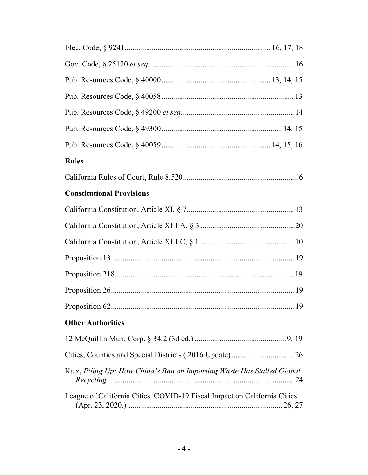| <b>Rules</b>                                                              |  |  |
|---------------------------------------------------------------------------|--|--|
|                                                                           |  |  |
| <b>Constitutional Provisions</b>                                          |  |  |
|                                                                           |  |  |
|                                                                           |  |  |
|                                                                           |  |  |
|                                                                           |  |  |
|                                                                           |  |  |
|                                                                           |  |  |
|                                                                           |  |  |
| <b>Other Authorities</b>                                                  |  |  |
|                                                                           |  |  |
|                                                                           |  |  |
| Katz, Piling Up: How China's Ban on Importing Waste Has Stalled Global    |  |  |
| League of California Cities. COVID-19 Fiscal Impact on California Cities. |  |  |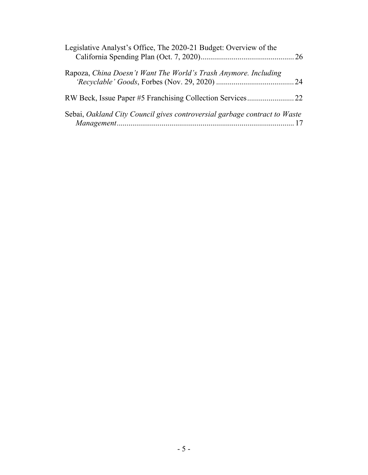| Legislative Analyst's Office, The 2020-21 Budget: Overview of the         |
|---------------------------------------------------------------------------|
| Rapoza, China Doesn't Want The World's Trash Anymore. Including           |
|                                                                           |
| Sebai, Oakland City Council gives controversial garbage contract to Waste |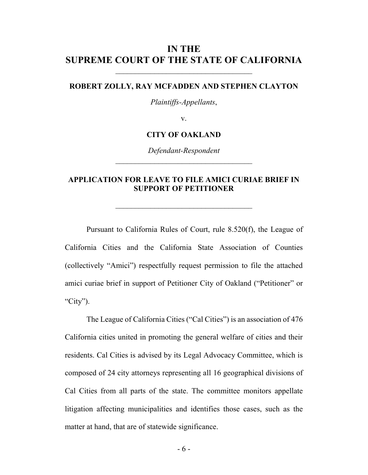## **IN THE SUPREME COURT OF THE STATE OF CALIFORNIA**

### **ROBERT ZOLLY, RAY MCFADDEN AND STEPHEN CLAYTON**

*Plaintiffs-Appellants*,

v.

### **CITY OF OAKLAND**

*Defendant-Respondent*   $\mathcal{L}_\text{max}$ 

## <span id="page-5-0"></span>**APPLICATION FOR LEAVE TO FILE AMICI CURIAE BRIEF IN SUPPORT OF PETITIONER**

<span id="page-5-1"></span>\_\_\_\_\_\_\_\_\_\_\_\_\_\_\_\_\_\_\_\_\_\_\_\_\_\_\_\_\_\_\_\_\_\_\_

Pursuant to California Rules of Court, rule 8.520(f), the League of California Cities and the California State Association of Counties (collectively "Amici") respectfully request permission to file the attached amici curiae brief in support of Petitioner City of Oakland ("Petitioner" or "City").

The League of California Cities ("Cal Cities") is an association of 476 California cities united in promoting the general welfare of cities and their residents. Cal Cities is advised by its Legal Advocacy Committee, which is composed of 24 city attorneys representing all 16 geographical divisions of Cal Cities from all parts of the state. The committee monitors appellate litigation affecting municipalities and identifies those cases, such as the matter at hand, that are of statewide significance.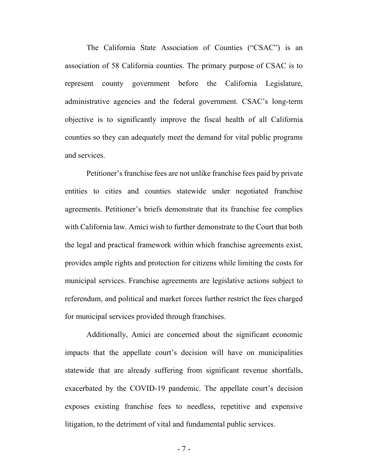The California State Association of Counties ("CSAC") is an association of 58 California counties. The primary purpose of CSAC is to represent county government before the California Legislature, administrative agencies and the federal government. CSAC's long-term objective is to significantly improve the fiscal health of all California counties so they can adequately meet the demand for vital public programs and services.

Petitioner's franchise fees are not unlike franchise fees paid by private entities to cities and counties statewide under negotiated franchise agreements. Petitioner's briefs demonstrate that its franchise fee complies with California law. Amici wish to further demonstrate to the Court that both the legal and practical framework within which franchise agreements exist, provides ample rights and protection for citizens while limiting the costs for municipal services. Franchise agreements are legislative actions subject to referendum, and political and market forces further restrict the fees charged for municipal services provided through franchises.

Additionally, Amici are concerned about the significant economic impacts that the appellate court's decision will have on municipalities statewide that are already suffering from significant revenue shortfalls, exacerbated by the COVID-19 pandemic. The appellate court's decision exposes existing franchise fees to needless, repetitive and expensive litigation, to the detriment of vital and fundamental public services.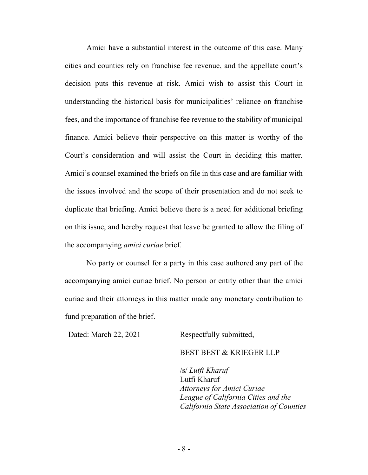Amici have a substantial interest in the outcome of this case. Many cities and counties rely on franchise fee revenue, and the appellate court's decision puts this revenue at risk. Amici wish to assist this Court in understanding the historical basis for municipalities' reliance on franchise fees, and the importance of franchise fee revenue to the stability of municipal finance. Amici believe their perspective on this matter is worthy of the Court's consideration and will assist the Court in deciding this matter. Amici's counsel examined the briefs on file in this case and are familiar with the issues involved and the scope of their presentation and do not seek to duplicate that briefing. Amici believe there is a need for additional briefing on this issue, and hereby request that leave be granted to allow the filing of the accompanying *amici curiae* brief.

No party or counsel for a party in this case authored any part of the accompanying amici curiae brief. No person or entity other than the amici curiae and their attorneys in this matter made any monetary contribution to fund preparation of the brief.

Dated: March 22, 2021 Respectfully submitted,

BEST BEST & KRIEGER LLP

/s/ *Lutfi Kharuf* Lutfi Kharuf *Attorneys for Amici Curiae League of California Cities and the California State Association of Counties*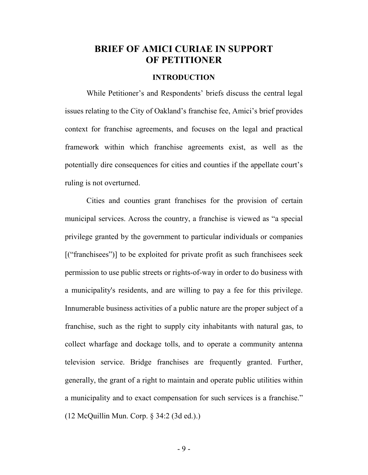# <span id="page-8-0"></span>**BRIEF OF AMICI CURIAE IN SUPPORT OF PETITIONER**

## **INTRODUCTION**

<span id="page-8-1"></span>While Petitioner's and Respondents' briefs discuss the central legal issues relating to the City of Oakland's franchise fee, Amici's brief provides context for franchise agreements, and focuses on the legal and practical framework within which franchise agreements exist, as well as the potentially dire consequences for cities and counties if the appellate court's ruling is not overturned.

<span id="page-8-2"></span>Cities and counties grant franchises for the provision of certain municipal services. Across the country, a franchise is viewed as "a special privilege granted by the government to particular individuals or companies [("franchisees")] to be exploited for private profit as such franchisees seek permission to use public streets or rights-of-way in order to do business with a municipality's residents, and are willing to pay a fee for this privilege. Innumerable business activities of a public nature are the proper subject of a franchise, such as the right to supply city inhabitants with natural gas, to collect wharfage and dockage tolls, and to operate a community antenna television service. Bridge franchises are frequently granted. Further, generally, the grant of a right to maintain and operate public utilities within a municipality and to exact compensation for such services is a franchise." (12 McQuillin Mun. Corp. § 34:2 (3d ed.).)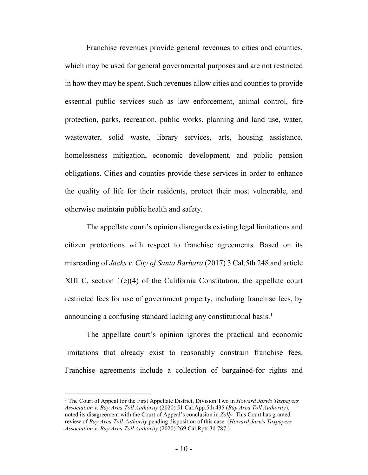Franchise revenues provide general revenues to cities and counties, which may be used for general governmental purposes and are not restricted in how they may be spent. Such revenues allow cities and counties to provide essential public services such as law enforcement, animal control, fire protection, parks, recreation, public works, planning and land use, water, wastewater, solid waste, library services, arts, housing assistance, homelessness mitigation, economic development, and public pension obligations. Cities and counties provide these services in order to enhance the quality of life for their residents, protect their most vulnerable, and otherwise maintain public health and safety.

<span id="page-9-3"></span><span id="page-9-2"></span>The appellate court's opinion disregards existing legal limitations and citizen protections with respect to franchise agreements. Based on its misreading of *Jacks v. City of Santa Barbara* (2017) 3 Cal.5th 248 and article XIII C, section 1(e)(4) of the California Constitution, the appellate court restricted fees for use of government property, including franchise fees, by announcing a confusing standard lacking any constitutional basis.<sup>[1](#page-9-4)</sup>

The appellate court's opinion ignores the practical and economic limitations that already exist to reasonably constrain franchise fees. Franchise agreements include a collection of bargained-for rights and

<span id="page-9-4"></span><span id="page-9-1"></span><span id="page-9-0"></span><sup>&</sup>lt;sup>1</sup> The Court of Appeal for the First Appellate District, Division Two in *Howard Jarvis Taxpayers Association v. Bay Area Toll Authority* (2020) 51 Cal.App.5th 435 (*Bay Area Toll Authority*), noted its disagreement with the Court of Appeal's conclusion in *Zolly*. This Court has granted review of *Bay Area Toll Authority* pending disposition of this case. (*Howard Jarvis Taxpayers Association v. Bay Area Toll Authority* (2020) 269 Cal.Rptr.3d 787.)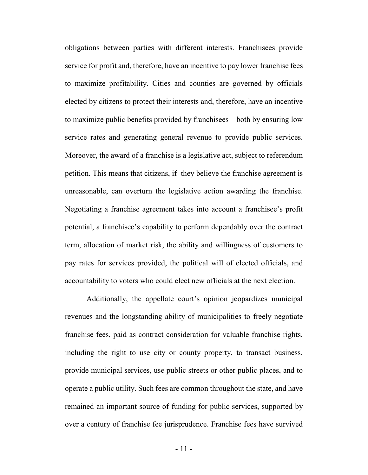obligations between parties with different interests. Franchisees provide service for profit and, therefore, have an incentive to pay lower franchise fees to maximize profitability. Cities and counties are governed by officials elected by citizens to protect their interests and, therefore, have an incentive to maximize public benefits provided by franchisees – both by ensuring low service rates and generating general revenue to provide public services. Moreover, the award of a franchise is a legislative act, subject to referendum petition. This means that citizens, if they believe the franchise agreement is unreasonable, can overturn the legislative action awarding the franchise. Negotiating a franchise agreement takes into account a franchisee's profit potential, a franchisee's capability to perform dependably over the contract term, allocation of market risk, the ability and willingness of customers to pay rates for services provided, the political will of elected officials, and accountability to voters who could elect new officials at the next election.

Additionally, the appellate court's opinion jeopardizes municipal revenues and the longstanding ability of municipalities to freely negotiate franchise fees, paid as contract consideration for valuable franchise rights, including the right to use city or county property, to transact business, provide municipal services, use public streets or other public places, and to operate a public utility. Such fees are common throughout the state, and have remained an important source of funding for public services, supported by over a century of franchise fee jurisprudence. Franchise fees have survived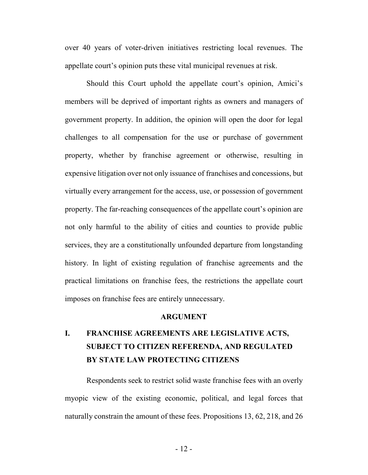over 40 years of voter-driven initiatives restricting local revenues. The appellate court's opinion puts these vital municipal revenues at risk.

Should this Court uphold the appellate court's opinion, Amici's members will be deprived of important rights as owners and managers of government property. In addition, the opinion will open the door for legal challenges to all compensation for the use or purchase of government property, whether by franchise agreement or otherwise, resulting in expensive litigation over not only issuance of franchises and concessions, but virtually every arrangement for the access, use, or possession of government property. The far-reaching consequences of the appellate court's opinion are not only harmful to the ability of cities and counties to provide public services, they are a constitutionally unfounded departure from longstanding history. In light of existing regulation of franchise agreements and the practical limitations on franchise fees, the restrictions the appellate court imposes on franchise fees are entirely unnecessary.

### **ARGUMENT**

# <span id="page-11-1"></span><span id="page-11-0"></span>**I. FRANCHISE AGREEMENTS ARE LEGISLATIVE ACTS, SUBJECT TO CITIZEN REFERENDA, AND REGULATED BY STATE LAW PROTECTING CITIZENS**

Respondents seek to restrict solid waste franchise fees with an overly myopic view of the existing economic, political, and legal forces that naturally constrain the amount of these fees. Propositions 13, 62, 218, and 26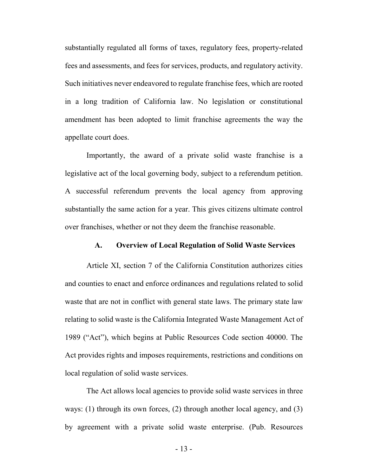substantially regulated all forms of taxes, regulatory fees, property-related fees and assessments, and fees for services, products, and regulatory activity. Such initiatives never endeavored to regulate franchise fees, which are rooted in a long tradition of California law. No legislation or constitutional amendment has been adopted to limit franchise agreements the way the appellate court does.

Importantly, the award of a private solid waste franchise is a legislative act of the local governing body, subject to a referendum petition. A successful referendum prevents the local agency from approving substantially the same action for a year. This gives citizens ultimate control over franchises, whether or not they deem the franchise reasonable.

### <span id="page-12-3"></span><span id="page-12-1"></span><span id="page-12-0"></span>**A. Overview of Local Regulation of Solid Waste Services**

Article XI, section 7 of the California Constitution authorizes cities and counties to enact and enforce ordinances and regulations related to solid waste that are not in conflict with general state laws. The primary state law relating to solid waste is the California Integrated Waste Management Act of 1989 ("Act"), which begins at Public Resources Code section 40000. The Act provides rights and imposes requirements, restrictions and conditions on local regulation of solid waste services.

<span id="page-12-2"></span>The Act allows local agencies to provide solid waste services in three ways: (1) through its own forces, (2) through another local agency, and (3) by agreement with a private solid waste enterprise. (Pub. Resources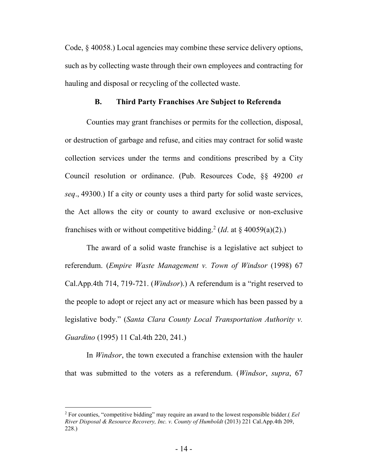Code, § 40058.) Local agencies may combine these service delivery options, such as by collecting waste through their own employees and contracting for hauling and disposal or recycling of the collected waste.

#### <span id="page-13-5"></span><span id="page-13-0"></span>**B. Third Party Franchises Are Subject to Referenda**

Counties may grant franchises or permits for the collection, disposal, or destruction of garbage and refuse, and cities may contract for solid waste collection services under the terms and conditions prescribed by a City Council resolution or ordinance. (Pub. Resources Code, §§ 49200 *et seq*., 49300.) If a city or county uses a third party for solid waste services, the Act allows the city or county to award exclusive or non-exclusive franchises with or without competitive bidding.<sup>[2](#page-13-6)</sup> (*Id.* at § 40059(a)(2).)

<span id="page-13-4"></span><span id="page-13-2"></span>The award of a solid waste franchise is a legislative act subject to referendum. (*Empire Waste Management v. Town of Windsor* (1998) 67 Cal.App.4th 714, 719-721. (*Windsor*).) A referendum is a "right reserved to the people to adopt or reject any act or measure which has been passed by a legislative body." (*Santa Clara County Local Transportation Authority v. Guardino* (1995) 11 Cal.4th 220, 241.)

<span id="page-13-3"></span>In *Windsor*, the town executed a franchise extension with the hauler that was submitted to the voters as a referendum. (*Windsor*, *supra*, 67

<span id="page-13-6"></span><span id="page-13-1"></span><sup>2</sup> For counties, "competitive bidding" may require an award to the lowest responsible bidder.( *Eel River Disposal & Resource Recovery, Inc. v. County of Humboldt* (2013) 221 Cal.App.4th 209, 228.)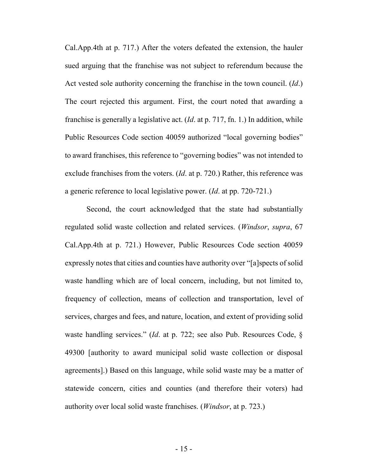<span id="page-14-1"></span><span id="page-14-0"></span>Cal.App.4th at p. 717.) After the voters defeated the extension, the hauler sued arguing that the franchise was not subject to referendum because the Act vested sole authority concerning the franchise in the town council. (*Id*.) The court rejected this argument. First, the court noted that awarding a franchise is generally a legislative act. (*Id*. at p. 717, fn. 1.) In addition, while Public Resources Code section 40059 authorized "local governing bodies" to award franchises, this reference to "governing bodies" was not intended to exclude franchises from the voters. (*Id*. at p. 720.) Rather, this reference was a generic reference to local legislative power. (*Id*. at pp. 720-721.)

<span id="page-14-3"></span><span id="page-14-2"></span>Second, the court acknowledged that the state had substantially regulated solid waste collection and related services. (*Windsor*, *supra*, 67 Cal.App.4th at p. 721.) However, Public Resources Code section 40059 expressly notes that cities and counties have authority over "[a]spects of solid waste handling which are of local concern, including, but not limited to, frequency of collection, means of collection and transportation, level of services, charges and fees, and nature, location, and extent of providing solid waste handling services." (*Id*. at p. 722; see also Pub. Resources Code, § 49300 [authority to award municipal solid waste collection or disposal agreements].) Based on this language, while solid waste may be a matter of statewide concern, cities and counties (and therefore their voters) had authority over local solid waste franchises. (*Windsor*, at p. 723.)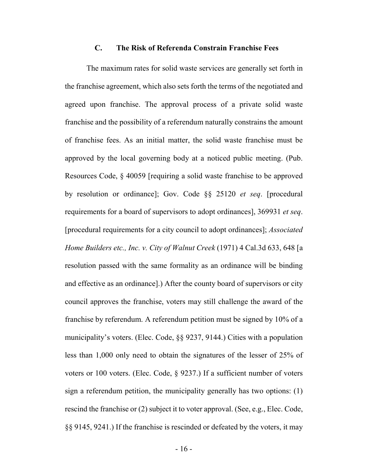### <span id="page-15-5"></span><span id="page-15-1"></span><span id="page-15-0"></span>**C. The Risk of Referenda Constrain Franchise Fees**

<span id="page-15-4"></span><span id="page-15-3"></span><span id="page-15-2"></span>The maximum rates for solid waste services are generally set forth in the franchise agreement, which also sets forth the terms of the negotiated and agreed upon franchise. The approval process of a private solid waste franchise and the possibility of a referendum naturally constrains the amount of franchise fees. As an initial matter, the solid waste franchise must be approved by the local governing body at a noticed public meeting. (Pub. Resources Code, § 40059 [requiring a solid waste franchise to be approved by resolution or ordinance]; Gov. Code §§ 25120 *et seq*. [procedural requirements for a board of supervisors to adopt ordinances], 369931 *et seq*. [procedural requirements for a city council to adopt ordinances]; *Associated Home Builders etc., Inc. v. City of Walnut Creek* (1971) 4 Cal.3d 633, 648 [a resolution passed with the same formality as an ordinance will be binding and effective as an ordinance].) After the county board of supervisors or city council approves the franchise, voters may still challenge the award of the franchise by referendum. A referendum petition must be signed by 10% of a municipality's voters. (Elec. Code, §§ 9237, 9144.) Cities with a population less than 1,000 only need to obtain the signatures of the lesser of 25% of voters or 100 voters. (Elec. Code, § 9237.) If a sufficient number of voters sign a referendum petition, the municipality generally has two options: (1) rescind the franchise or (2) subject it to voter approval. (See, e.g., Elec. Code, §§ 9145, 9241.) If the franchise is rescinded or defeated by the voters, it may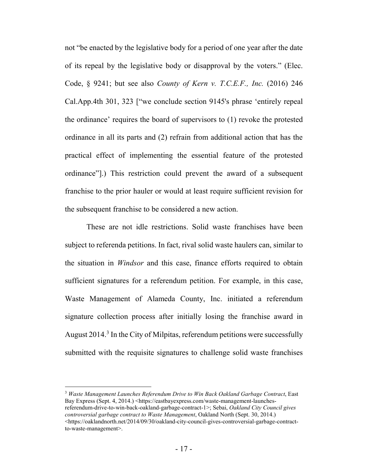<span id="page-16-2"></span><span id="page-16-0"></span>not "be enacted by the legislative body for a period of one year after the date of its repeal by the legislative body or disapproval by the voters." (Elec. Code, § 9241; but see also *County of Kern v. T.C.E.F., Inc.* (2016) 246 Cal.App.4th 301, 323 ["we conclude section 9145's phrase 'entirely repeal the ordinance' requires the board of supervisors to (1) revoke the protested ordinance in all its parts and (2) refrain from additional action that has the practical effect of implementing the essential feature of the protested ordinance"].) This restriction could prevent the award of a subsequent franchise to the prior hauler or would at least require sufficient revision for the subsequent franchise to be considered a new action.

<span id="page-16-1"></span>These are not idle restrictions. Solid waste franchises have been subject to referenda petitions. In fact, rival solid waste haulers can, similar to the situation in *Windsor* and this case, finance efforts required to obtain sufficient signatures for a referendum petition. For example, in this case, Waste Management of Alameda County, Inc. initiated a referendum signature collection process after initially losing the franchise award in August 2014.<sup>[3](#page-16-4)</sup> In the City of Milpitas, referendum petitions were successfully submitted with the requisite signatures to challenge solid waste franchises

<span id="page-16-4"></span><span id="page-16-3"></span><sup>3</sup> *Waste Management Launches Referendum Drive to Win Back Oakland Garbage Contract*, East Bay Express (Sept. 4, 2014.) <https://eastbayexpress.com/waste-management-launchesreferendum-drive-to-win-back-oakland-garbage-contract-1>; Sebai, *Oakland City Council gives controversial garbage contract to Waste Management*, Oakland North (Sept. 30, 2014.) <https://oaklandnorth.net/2014/09/30/oakland-city-council-gives-controversial-garbage-contractto-waste-management>.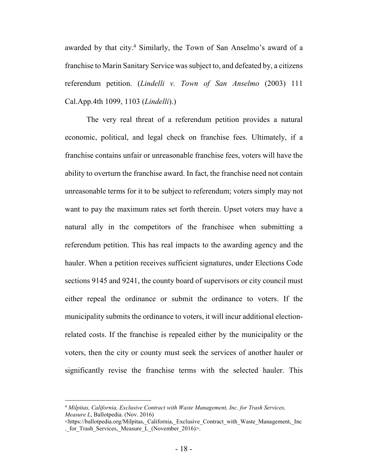<span id="page-17-0"></span>awarded by that city.<sup>[4](#page-17-2)</sup> Similarly, the Town of San Anselmo's award of a franchise to Marin Sanitary Service was subject to, and defeated by, a citizens referendum petition. (*Lindelli v. Town of San Anselmo* (2003) 111 Cal.App.4th 1099, 1103 (*Lindelli*).)

<span id="page-17-1"></span>The very real threat of a referendum petition provides a natural economic, political, and legal check on franchise fees. Ultimately, if a franchise contains unfair or unreasonable franchise fees, voters will have the ability to overturn the franchise award. In fact, the franchise need not contain unreasonable terms for it to be subject to referendum; voters simply may not want to pay the maximum rates set forth therein. Upset voters may have a natural ally in the competitors of the franchisee when submitting a referendum petition. This has real impacts to the awarding agency and the hauler. When a petition receives sufficient signatures, under Elections Code sections 9145 and 9241, the county board of supervisors or city council must either repeal the ordinance or submit the ordinance to voters. If the municipality submits the ordinance to voters, it will incur additional electionrelated costs. If the franchise is repealed either by the municipality or the voters, then the city or county must seek the services of another hauler or significantly revise the franchise terms with the selected hauler. This

<span id="page-17-2"></span><sup>4</sup> *Milpitas, California, Exclusive Contract with Waste Management, Inc. for Trash Services, Measure L*, Ballotpedia. (Nov. 2016)

<sup>&</sup>lt;https://ballotpedia.org/Milpitas, California, Exclusive Contract with Waste Management, Inc . for Trash Services, Measure L (November 2016)>.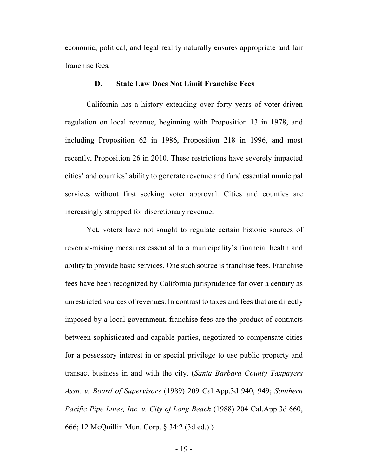economic, political, and legal reality naturally ensures appropriate and fair franchise fees.

### <span id="page-18-4"></span><span id="page-18-3"></span><span id="page-18-0"></span>**D. State Law Does Not Limit Franchise Fees**

<span id="page-18-6"></span><span id="page-18-5"></span>California has a history extending over forty years of voter-driven regulation on local revenue, beginning with Proposition 13 in 1978, and including Proposition 62 in 1986, Proposition 218 in 1996, and most recently, Proposition 26 in 2010. These restrictions have severely impacted cities' and counties' ability to generate revenue and fund essential municipal services without first seeking voter approval. Cities and counties are increasingly strapped for discretionary revenue.

<span id="page-18-7"></span><span id="page-18-2"></span><span id="page-18-1"></span>Yet, voters have not sought to regulate certain historic sources of revenue-raising measures essential to a municipality's financial health and ability to provide basic services. One such source is franchise fees. Franchise fees have been recognized by California jurisprudence for over a century as unrestricted sources of revenues. In contrast to taxes and fees that are directly imposed by a local government, franchise fees are the product of contracts between sophisticated and capable parties, negotiated to compensate cities for a possessory interest in or special privilege to use public property and transact business in and with the city. (*Santa Barbara County Taxpayers Assn. v. Board of Supervisors* (1989) 209 Cal.App.3d 940, 949; *Southern Pacific Pipe Lines, Inc. v. City of Long Beach* (1988) 204 Cal.App.3d 660, 666; 12 McQuillin Mun. Corp. § 34:2 (3d ed.).)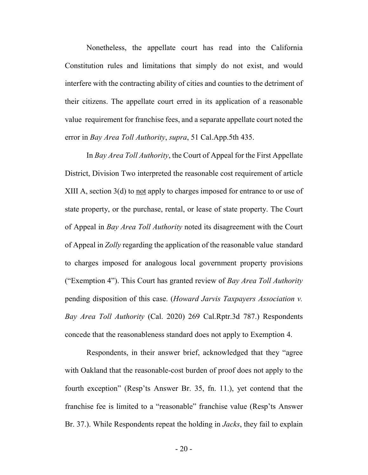Nonetheless, the appellate court has read into the California Constitution rules and limitations that simply do not exist, and would interfere with the contracting ability of cities and counties to the detriment of their citizens. The appellate court erred in its application of a reasonable value requirement for franchise fees, and a separate appellate court noted the error in *Bay Area Toll Authority*, *supra*, 51 Cal.App.5th 435.

<span id="page-19-3"></span><span id="page-19-1"></span>In *Bay Area Toll Authority*, the Court of Appeal for the First Appellate District, Division Two interpreted the reasonable cost requirement of article XIII A, section 3(d) to not apply to charges imposed for entrance to or use of state property, or the purchase, rental, or lease of state property. The Court of Appeal in *Bay Area Toll Authority* noted its disagreement with the Court of Appeal in *Zolly* regarding the application of the reasonable value standard to charges imposed for analogous local government property provisions ("Exemption 4"). This Court has granted review of *Bay Area Toll Authority* pending disposition of this case. (*Howard Jarvis Taxpayers Association v. Bay Area Toll Authority* (Cal. 2020) 269 Cal.Rptr.3d 787.) Respondents concede that the reasonableness standard does not apply to Exemption 4.

<span id="page-19-2"></span><span id="page-19-0"></span>Respondents, in their answer brief, acknowledged that they "agree with Oakland that the reasonable-cost burden of proof does not apply to the fourth exception" (Resp'ts Answer Br. 35, fn. 11.), yet contend that the franchise fee is limited to a "reasonable" franchise value (Resp'ts Answer Br. 37.). While Respondents repeat the holding in *Jacks*, they fail to explain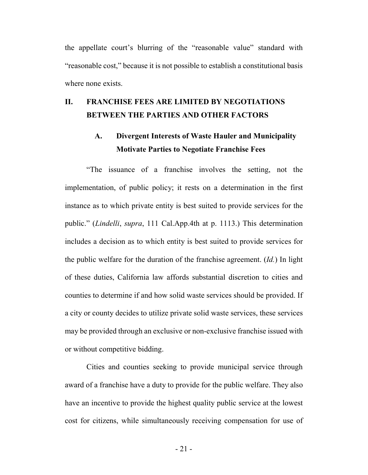the appellate court's blurring of the "reasonable value" standard with "reasonable cost," because it is not possible to establish a constitutional basis where none exists.

# <span id="page-20-0"></span>**II. FRANCHISE FEES ARE LIMITED BY NEGOTIATIONS BETWEEN THE PARTIES AND OTHER FACTORS**

# <span id="page-20-1"></span>**A. Divergent Interests of Waste Hauler and Municipality Motivate Parties to Negotiate Franchise Fees**

<span id="page-20-2"></span>"The issuance of a franchise involves the setting, not the implementation, of public policy; it rests on a determination in the first instance as to which private entity is best suited to provide services for the public." (*Lindelli*, *supra*, 111 Cal.App.4th at p. 1113.) This determination includes a decision as to which entity is best suited to provide services for the public welfare for the duration of the franchise agreement. (*Id.*) In light of these duties, California law affords substantial discretion to cities and counties to determine if and how solid waste services should be provided. If a city or county decides to utilize private solid waste services, these services may be provided through an exclusive or non-exclusive franchise issued with or without competitive bidding.

Cities and counties seeking to provide municipal service through award of a franchise have a duty to provide for the public welfare. They also have an incentive to provide the highest quality public service at the lowest cost for citizens, while simultaneously receiving compensation for use of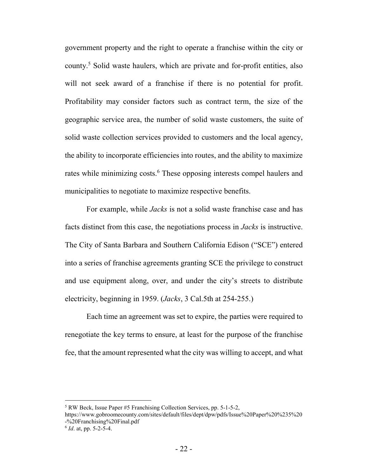government property and the right to operate a franchise within the city or county.[5](#page-21-2) Solid waste haulers, which are private and for-profit entities, also will not seek award of a franchise if there is no potential for profit. Profitability may consider factors such as contract term, the size of the geographic service area, the number of solid waste customers, the suite of solid waste collection services provided to customers and the local agency, the ability to incorporate efficiencies into routes, and the ability to maximize rates while minimizing costs.<sup>[6](#page-21-3)</sup> These opposing interests compel haulers and municipalities to negotiate to maximize respective benefits.

<span id="page-21-0"></span>For example, while *Jacks* is not a solid waste franchise case and has facts distinct from this case, the negotiations process in *Jacks* is instructive. The City of Santa Barbara and Southern California Edison ("SCE") entered into a series of franchise agreements granting SCE the privilege to construct and use equipment along, over, and under the city's streets to distribute electricity, beginning in 1959. (*Jacks*, 3 Cal.5th at 254-255.)

Each time an agreement was set to expire, the parties were required to renegotiate the key terms to ensure, at least for the purpose of the franchise fee, that the amount represented what the city was willing to accept, and what

<span id="page-21-2"></span><span id="page-21-1"></span><sup>5</sup> RW Beck, Issue Paper #5 Franchising Collection Services, pp. 5-1-5-2,

https://www.gobroomecounty.com/sites/default/files/dept/dpw/pdfs/Issue%20Paper%20%235%20 -%20Franchising%20Final.pdf

<span id="page-21-3"></span><sup>6</sup> *Id*. at, pp. 5-2-5-4.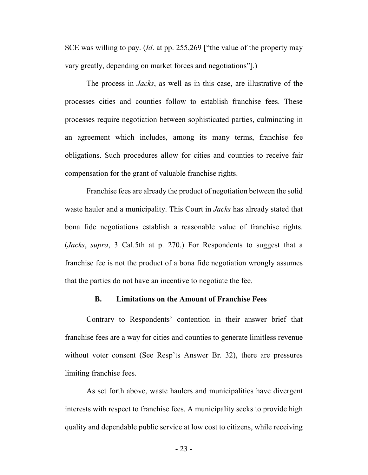<span id="page-22-1"></span>SCE was willing to pay. (*Id*. at pp. 255,269 ["the value of the property may vary greatly, depending on market forces and negotiations"].)

The process in *Jacks*, as well as in this case, are illustrative of the processes cities and counties follow to establish franchise fees. These processes require negotiation between sophisticated parties, culminating in an agreement which includes, among its many terms, franchise fee obligations. Such procedures allow for cities and counties to receive fair compensation for the grant of valuable franchise rights.

Franchise fees are already the product of negotiation between the solid waste hauler and a municipality. This Court in *Jacks* has already stated that bona fide negotiations establish a reasonable value of franchise rights. (*Jacks*, *supra*, 3 Cal.5th at p. 270.) For Respondents to suggest that a franchise fee is not the product of a bona fide negotiation wrongly assumes that the parties do not have an incentive to negotiate the fee.

### <span id="page-22-0"></span>**B. Limitations on the Amount of Franchise Fees**

Contrary to Respondents' contention in their answer brief that franchise fees are a way for cities and counties to generate limitless revenue without voter consent (See Resp'ts Answer Br. 32), there are pressures limiting franchise fees.

As set forth above, waste haulers and municipalities have divergent interests with respect to franchise fees. A municipality seeks to provide high quality and dependable public service at low cost to citizens, while receiving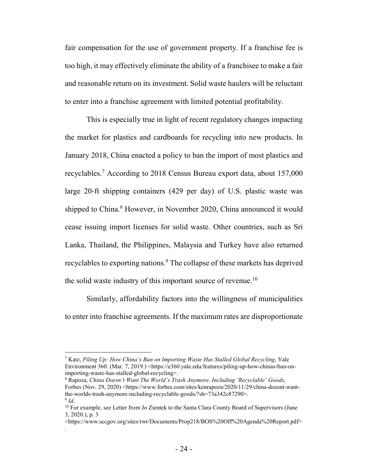fair compensation for the use of government property. If a franchise fee is too high, it may effectively eliminate the ability of a franchisee to make a fair and reasonable return on its investment. Solid waste haulers will be reluctant to enter into a franchise agreement with limited potential profitability.

This is especially true in light of recent regulatory changes impacting the market for plastics and cardboards for recycling into new products. In January 2018, China enacted a policy to ban the import of most plastics and recyclables.[7](#page-23-2) According to 2018 Census Bureau export data, about 157,000 large 20-ft shipping containers (429 per day) of U.S. plastic waste was shipped to China.<sup>[8](#page-23-3)</sup> However, in November 2020, China announced it would cease issuing import licenses for solid waste. Other countries, such as Sri Lanka, Thailand, the Philippines, Malaysia and Turkey have also returned recyclables to exporting nations.<sup>[9](#page-23-4)</sup> The collapse of these markets has deprived the solid waste industry of this important source of revenue.<sup>[10](#page-23-5)</sup>

Similarly, affordability factors into the willingness of municipalities to enter into franchise agreements. If the maximum rates are disproportionate

.

<span id="page-23-2"></span><span id="page-23-0"></span><sup>7</sup> Katz, *Piling Up: How China's Ban on Importing Waste Has Stalled Global Recycling*, Yale Environment 360. (Mar. 7, 2019.) <https://e360.yale.edu/features/piling-up-how-chinas-ban-onimporting-waste-has-stalled-global-recycling>.

<span id="page-23-3"></span><span id="page-23-1"></span><sup>8</sup> Rapoza, *China Doesn't Want The World's Trash Anymore. Including 'Recyclable' Goods*, Forbes (Nov. 29, 2020) <https://www.forbes.com/sites/kenrapoza/2020/11/29/china-doesnt-wantthe-worlds-trash-anymore-including-recyclable-goods/?sh=73a342c87290>. 9 *Id*.

<span id="page-23-5"></span><span id="page-23-4"></span><sup>&</sup>lt;sup>10</sup> For example, see Letter from Jo Zientek to the Santa Clara County Board of Supervisors (June 3, 2020.), p. 3

<sup>&</sup>lt;https://www.sccgov.org/sites/rwr/Documents/Prop218/BOS%20Off%20Agenda%20Report.pdf>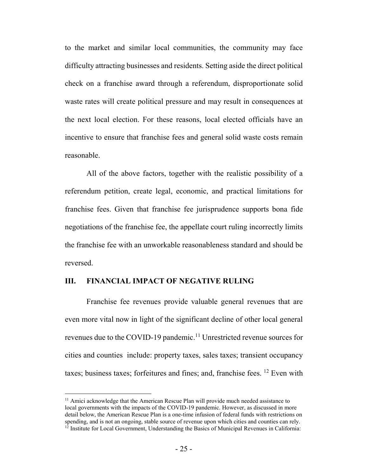to the market and similar local communities, the community may face difficulty attracting businesses and residents. Setting aside the direct political check on a franchise award through a referendum, disproportionate solid waste rates will create political pressure and may result in consequences at the next local election. For these reasons, local elected officials have an incentive to ensure that franchise fees and general solid waste costs remain reasonable.

All of the above factors, together with the realistic possibility of a referendum petition, create legal, economic, and practical limitations for franchise fees. Given that franchise fee jurisprudence supports bona fide negotiations of the franchise fee, the appellate court ruling incorrectly limits the franchise fee with an unworkable reasonableness standard and should be reversed.

### <span id="page-24-0"></span>**III. FINANCIAL IMPACT OF NEGATIVE RULING**

Franchise fee revenues provide valuable general revenues that are even more vital now in light of the significant decline of other local general revenues due to the COVID-19 pandemic.<sup>[11](#page-24-2)</sup> Unrestricted revenue sources for cities and counties include: property taxes, sales taxes; transient occupancy taxes; business taxes; forfeitures and fines; and, franchise fees. [12](#page-24-3) Even with

<span id="page-24-3"></span><span id="page-24-2"></span><span id="page-24-1"></span> $11$  Amici acknowledge that the American Rescue Plan will provide much needed assistance to local governments with the impacts of the COVID-19 pandemic. However, as discussed in more detail below, the American Rescue Plan is a one-time infusion of federal funds with restrictions on spending, and is not an ongoing, stable source of revenue upon which cities and counties can rely.  $12$  Institute for Local Government, Understanding the Basics of Municipal Revenues in California: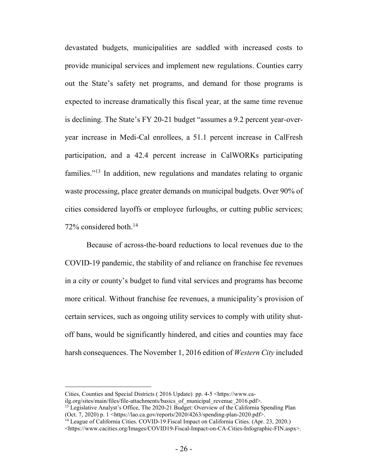devastated budgets, municipalities are saddled with increased costs to provide municipal services and implement new regulations. Counties carry out the State's safety net programs, and demand for those programs is expected to increase dramatically this fiscal year, at the same time revenue is declining. The State's FY 20-21 budget "assumes a 9.2 percent year-overyear increase in Medi-Cal enrollees, a 51.1 percent increase in CalFresh participation, and a 42.4 percent increase in CalWORKs participating families."[13](#page-25-2) In addition, new regulations and mandates relating to organic waste processing, place greater demands on municipal budgets. Over 90% of cities considered layoffs or employee furloughs, or cutting public services; 72% considered both.<sup>[14](#page-25-3)</sup>

Because of across-the-board reductions to local revenues due to the COVID-19 pandemic, the stability of and reliance on franchise fee revenues in a city or county's budget to fund vital services and programs has become more critical. Without franchise fee revenues, a municipality's provision of certain services, such as ongoing utility services to comply with utility shutoff bans, would be significantly hindered, and cities and counties may face harsh consequences. The November 1, 2016 edition of *Western City* included

Cities, Counties and Special Districts ( 2016 Update) pp. 4-5 <https://www.ca-

<span id="page-25-2"></span><span id="page-25-1"></span>ilg.org/sites/main/files/file-attachments/basics\_of\_municipal\_revenue\_2016.pdf>.

<sup>&</sup>lt;sup>13</sup> Legislative Analyst's Office, The 2020-21 Budget: Overview of the California Spending Plan (Oct. 7, 2020) p. 1 <https://lao.ca.gov/reports/2020/4263/spending-plan-2020.pdf>.

<span id="page-25-3"></span><span id="page-25-0"></span><sup>&</sup>lt;sup>14</sup> League of California Cities. COVID-19 Fiscal Impact on California Cities. (Apr. 23, 2020.)

<sup>&</sup>lt;https://www.cacities.org/Images/COVID19-Fiscal-Impact-on-CA-Cities-Infographic-FIN.aspx>.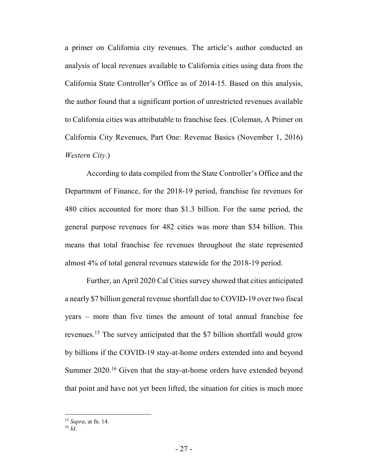a primer on California city revenues. The article's author conducted an analysis of local revenues available to California cities using data from the California State Controller's Office as of 2014-15. Based on this analysis, the author found that a significant portion of unrestricted revenues available to California cities was attributable to franchise fees. (Coleman, A Primer on California City Revenues, Part One: Revenue Basics (November 1, 2016) *Western City*.)

According to data compiled from the State Controller's Office and the Department of Finance, for the 2018-19 period, franchise fee revenues for 480 cities accounted for more than \$1.3 billion. For the same period, the general purpose revenues for 482 cities was more than \$34 billion. This means that total franchise fee revenues throughout the state represented almost 4% of total general revenues statewide for the 2018-19 period.

Further, an April 2020 Cal Cities survey showed that cities anticipated a nearly \$7 billion general revenue shortfall due to COVID-19 over two fiscal years – more than five times the amount of total annual franchise fee revenues.[15](#page-26-1) The survey anticipated that the \$7 billion shortfall would grow by billions if the COVID-19 stay-at-home orders extended into and beyond Summer 2020.<sup>[16](#page-26-2)</sup> Given that the stay-at-home orders have extended beyond that point and have not yet been lifted, the situation for cities is much more

<span id="page-26-1"></span><sup>15</sup> *Supra*, at fn. 14.

<span id="page-26-2"></span><span id="page-26-0"></span><sup>16</sup> *Id*.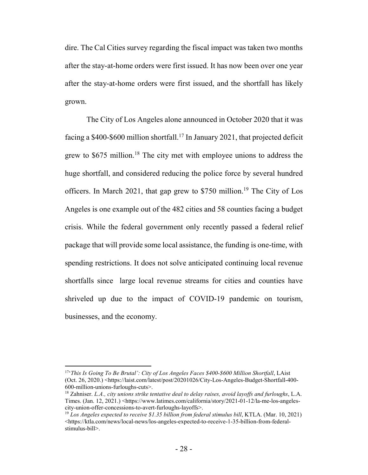dire. The Cal Cities survey regarding the fiscal impact was taken two months after the stay-at-home orders were first issued. It has now been over one year after the stay-at-home orders were first issued, and the shortfall has likely grown.

The City of Los Angeles alone announced in October 2020 that it was facing a  $$400-$600$  million shortfall.<sup>[17](#page-27-0)</sup> In January 2021, that projected deficit grew to  $$675$  million.<sup>[18](#page-27-1)</sup> The city met with employee unions to address the huge shortfall, and considered reducing the police force by several hundred officers. In March 2021, that gap grew to \$750 million.<sup>[19](#page-27-2)</sup> The City of Los Angeles is one example out of the 482 cities and 58 counties facing a budget crisis. While the federal government only recently passed a federal relief package that will provide some local assistance, the funding is one-time, with spending restrictions. It does not solve anticipated continuing local revenue shortfalls since large local revenue streams for cities and counties have shriveled up due to the impact of COVID-19 pandemic on tourism, businesses, and the economy.

<span id="page-27-0"></span><sup>&</sup>lt;sup>17</sup><sup>'</sup>This Is Going To Be Brutal': City of Los Angeles Faces \$400-\$600 Million Shortfall, LAist (Oct. 26, 2020.) <https://laist.com/latest/post/20201026/City-Los-Angeles-Budget-Shortfall-400- 600-million-unions-furloughs-cuts>.

<span id="page-27-1"></span><sup>18</sup> Zahniser. *L.A., city unions strike tentative deal to delay raises, avoid layoffs and furloughs*, L.A. Times. (Jan. 12, 2021.) <https://www.latimes.com/california/story/2021-01-12/la-me-los-angelescity-union-offer-concessions-to-avert-furloughs-layoffs>.

<span id="page-27-2"></span><sup>&</sup>lt;sup>19</sup> Los Angeles expected to receive \$1.35 billion from federal stimulus bill, KTLA. (Mar. 10, 2021) <https://ktla.com/news/local-news/los-angeles-expected-to-receive-1-35-billion-from-federalstimulus-bill>.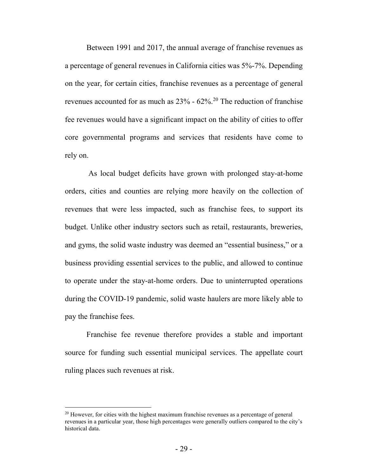Between 1991 and 2017, the annual average of franchise revenues as a percentage of general revenues in California cities was 5%-7%. Depending on the year, for certain cities, franchise revenues as a percentage of general revenues accounted for as much as  $23\%$  -  $62\%$ .<sup>[20](#page-28-0)</sup> The reduction of franchise fee revenues would have a significant impact on the ability of cities to offer core governmental programs and services that residents have come to rely on.

 As local budget deficits have grown with prolonged stay-at-home orders, cities and counties are relying more heavily on the collection of revenues that were less impacted, such as franchise fees, to support its budget. Unlike other industry sectors such as retail, restaurants, breweries, and gyms, the solid waste industry was deemed an "essential business," or a business providing essential services to the public, and allowed to continue to operate under the stay-at-home orders. Due to uninterrupted operations during the COVID-19 pandemic, solid waste haulers are more likely able to pay the franchise fees.

Franchise fee revenue therefore provides a stable and important source for funding such essential municipal services. The appellate court ruling places such revenues at risk.

<span id="page-28-0"></span> $20$  However, for cities with the highest maximum franchise revenues as a percentage of general revenues in a particular year, those high percentages were generally outliers compared to the city's historical data.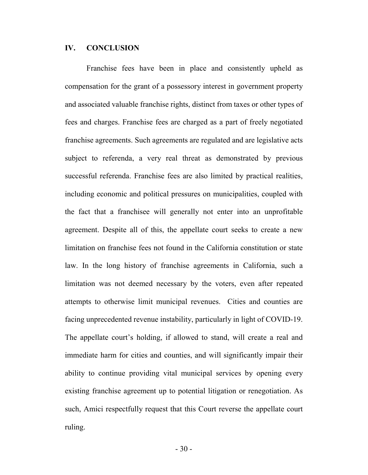### <span id="page-29-0"></span>**IV. CONCLUSION**

Franchise fees have been in place and consistently upheld as compensation for the grant of a possessory interest in government property and associated valuable franchise rights, distinct from taxes or other types of fees and charges. Franchise fees are charged as a part of freely negotiated franchise agreements. Such agreements are regulated and are legislative acts subject to referenda, a very real threat as demonstrated by previous successful referenda. Franchise fees are also limited by practical realities, including economic and political pressures on municipalities, coupled with the fact that a franchisee will generally not enter into an unprofitable agreement. Despite all of this, the appellate court seeks to create a new limitation on franchise fees not found in the California constitution or state law. In the long history of franchise agreements in California, such a limitation was not deemed necessary by the voters, even after repeated attempts to otherwise limit municipal revenues. Cities and counties are facing unprecedented revenue instability, particularly in light of COVID-19. The appellate court's holding, if allowed to stand, will create a real and immediate harm for cities and counties, and will significantly impair their ability to continue providing vital municipal services by opening every existing franchise agreement up to potential litigation or renegotiation. As such, Amici respectfully request that this Court reverse the appellate court ruling.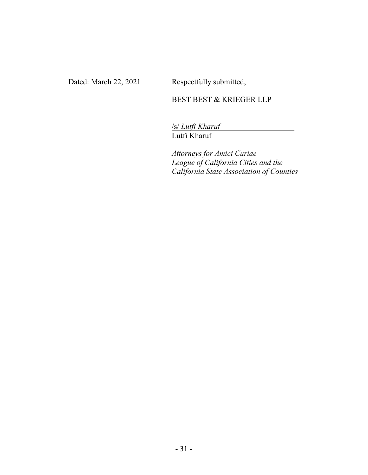Dated: March 22, 2021 Respectfully submitted,

## BEST BEST & KRIEGER LLP

/s/ *Lutfi Kharuf* Lutfi Kharuf

*Attorneys for Amici Curiae League of California Cities and the California State Association of Counties*